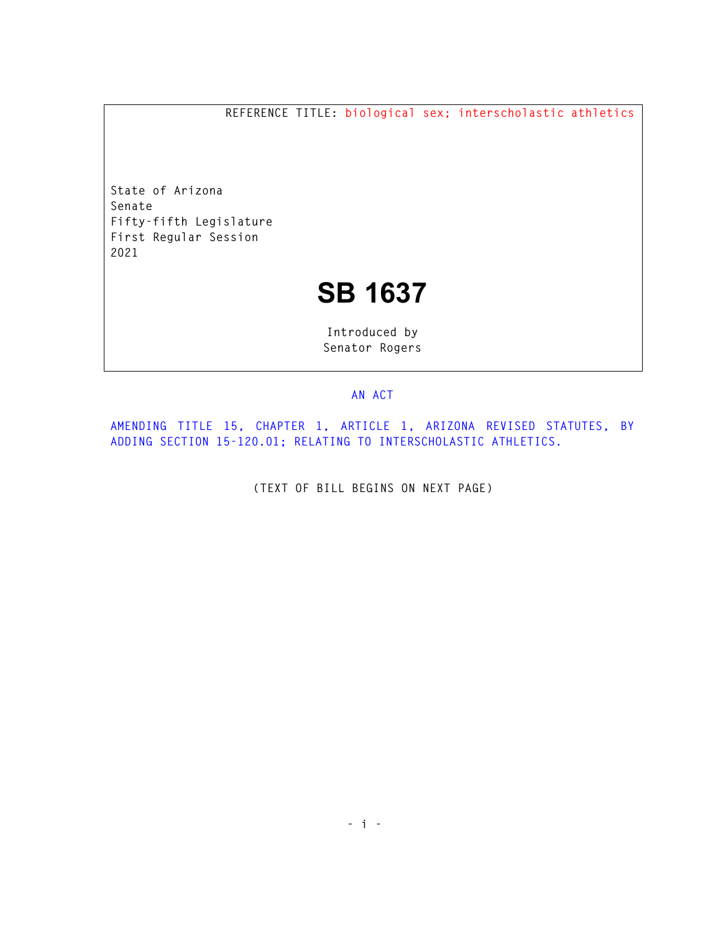**REFERENCE TITLE: biological sex; interscholastic athletics** 

**State of Arizona Senate Fifty-fifth Legislature First Regular Session 2021** 

## **SB 1637**

**Introduced by Senator Rogers** 

## **AN ACT**

**AMENDING TITLE 15, CHAPTER 1, ARTICLE 1, ARIZONA REVISED STATUTES, BY ADDING SECTION 15-120.01; RELATING TO INTERSCHOLASTIC ATHLETICS.** 

**(TEXT OF BILL BEGINS ON NEXT PAGE)**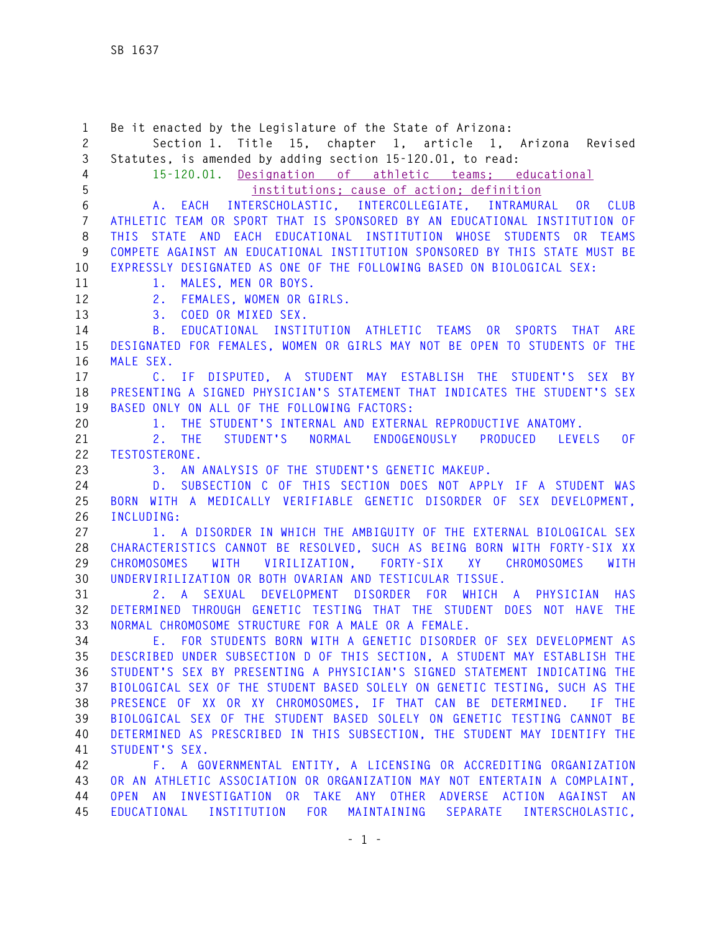**1 Be it enacted by the Legislature of the State of Arizona: 2 Section 1. Title 15, chapter 1, article 1, Arizona Revised 3 Statutes, is amended by adding section 15-120.01, to read: 4 15-120.01. Designation of athletic teams; educational 5 institutions; cause of action; definition 6 A. EACH INTERSCHOLASTIC, INTERCOLLEGIATE, INTRAMURAL OR CLUB 7 ATHLETIC TEAM OR SPORT THAT IS SPONSORED BY AN EDUCATIONAL INSTITUTION OF 8 THIS STATE AND EACH EDUCATIONAL INSTITUTION WHOSE STUDENTS OR TEAMS 9 COMPETE AGAINST AN EDUCATIONAL INSTITUTION SPONSORED BY THIS STATE MUST BE 10 EXPRESSLY DESIGNATED AS ONE OF THE FOLLOWING BASED ON BIOLOGICAL SEX: 11 1. MALES, MEN OR BOYS. 12 2. FEMALES, WOMEN OR GIRLS. 13 3. COED OR MIXED SEX. 14 B. EDUCATIONAL INSTITUTION ATHLETIC TEAMS OR SPORTS THAT ARE 15 DESIGNATED FOR FEMALES, WOMEN OR GIRLS MAY NOT BE OPEN TO STUDENTS OF THE 16 MALE SEX. 17 C. IF DISPUTED, A STUDENT MAY ESTABLISH THE STUDENT'S SEX BY 18 PRESENTING A SIGNED PHYSICIAN'S STATEMENT THAT INDICATES THE STUDENT'S SEX 19 BASED ONLY ON ALL OF THE FOLLOWING FACTORS: 20 1. THE STUDENT'S INTERNAL AND EXTERNAL REPRODUCTIVE ANATOMY. 21 2. THE STUDENT'S NORMAL ENDOGENOUSLY PRODUCED LEVELS OF 22 TESTOSTERONE. 23 3. AN ANALYSIS OF THE STUDENT'S GENETIC MAKEUP. 24 D. SUBSECTION C OF THIS SECTION DOES NOT APPLY IF A STUDENT WAS 25 BORN WITH A MEDICALLY VERIFIABLE GENETIC DISORDER OF SEX DEVELOPMENT, 26 INCLUDING: 27 1. A DISORDER IN WHICH THE AMBIGUITY OF THE EXTERNAL BIOLOGICAL SEX 28 CHARACTERISTICS CANNOT BE RESOLVED, SUCH AS BEING BORN WITH FORTY-SIX XX 29 CHROMOSOMES WITH VIRILIZATION, FORTY-SIX XY CHROMOSOMES WITH 30 UNDERVIRILIZATION OR BOTH OVARIAN AND TESTICULAR TISSUE. 31 2. A SEXUAL DEVELOPMENT DISORDER FOR WHICH A PHYSICIAN HAS 32 DETERMINED THROUGH GENETIC TESTING THAT THE STUDENT DOES NOT HAVE THE 33 NORMAL CHROMOSOME STRUCTURE FOR A MALE OR A FEMALE. 34 E. FOR STUDENTS BORN WITH A GENETIC DISORDER OF SEX DEVELOPMENT AS 35 DESCRIBED UNDER SUBSECTION D OF THIS SECTION, A STUDENT MAY ESTABLISH THE 36 STUDENT'S SEX BY PRESENTING A PHYSICIAN'S SIGNED STATEMENT INDICATING THE 37 BIOLOGICAL SEX OF THE STUDENT BASED SOLELY ON GENETIC TESTING, SUCH AS THE 38 PRESENCE OF XX OR XY CHROMOSOMES, IF THAT CAN BE DETERMINED. IF THE 39 BIOLOGICAL SEX OF THE STUDENT BASED SOLELY ON GENETIC TESTING CANNOT BE 40 DETERMINED AS PRESCRIBED IN THIS SUBSECTION, THE STUDENT MAY IDENTIFY THE 41 STUDENT'S SEX. 42 F. A GOVERNMENTAL ENTITY, A LICENSING OR ACCREDITING ORGANIZATION 43 OR AN ATHLETIC ASSOCIATION OR ORGANIZATION MAY NOT ENTERTAIN A COMPLAINT, 44 OPEN AN INVESTIGATION OR TAKE ANY OTHER ADVERSE ACTION AGAINST AN** 

**45 EDUCATIONAL INSTITUTION FOR MAINTAINING SEPARATE INTERSCHOLASTIC,**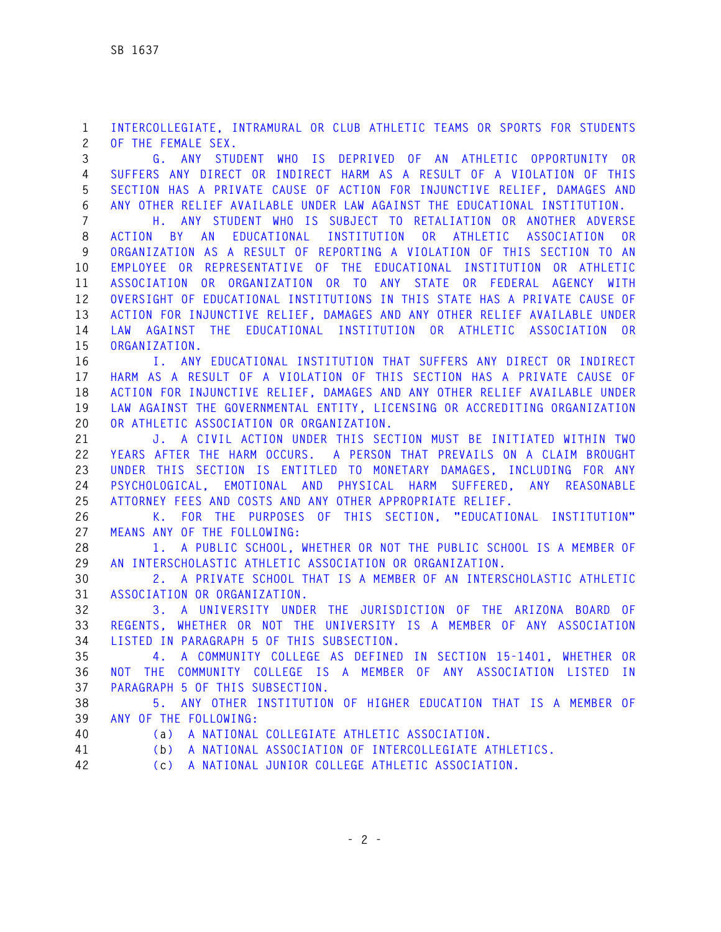**1 INTERCOLLEGIATE, INTRAMURAL OR CLUB ATHLETIC TEAMS OR SPORTS FOR STUDENTS 2 OF THE FEMALE SEX.** 

**3 G. ANY STUDENT WHO IS DEPRIVED OF AN ATHLETIC OPPORTUNITY OR 4 SUFFERS ANY DIRECT OR INDIRECT HARM AS A RESULT OF A VIOLATION OF THIS 5 SECTION HAS A PRIVATE CAUSE OF ACTION FOR INJUNCTIVE RELIEF, DAMAGES AND 6 ANY OTHER RELIEF AVAILABLE UNDER LAW AGAINST THE EDUCATIONAL INSTITUTION.** 

**7 H. ANY STUDENT WHO IS SUBJECT TO RETALIATION OR ANOTHER ADVERSE 8 ACTION BY AN EDUCATIONAL INSTITUTION OR ATHLETIC ASSOCIATION OR 9 ORGANIZATION AS A RESULT OF REPORTING A VIOLATION OF THIS SECTION TO AN 10 EMPLOYEE OR REPRESENTATIVE OF THE EDUCATIONAL INSTITUTION OR ATHLETIC 11 ASSOCIATION OR ORGANIZATION OR TO ANY STATE OR FEDERAL AGENCY WITH 12 OVERSIGHT OF EDUCATIONAL INSTITUTIONS IN THIS STATE HAS A PRIVATE CAUSE OF 13 ACTION FOR INJUNCTIVE RELIEF, DAMAGES AND ANY OTHER RELIEF AVAILABLE UNDER 14 LAW AGAINST THE EDUCATIONAL INSTITUTION OR ATHLETIC ASSOCIATION OR 15 ORGANIZATION.** 

**16 I. ANY EDUCATIONAL INSTITUTION THAT SUFFERS ANY DIRECT OR INDIRECT 17 HARM AS A RESULT OF A VIOLATION OF THIS SECTION HAS A PRIVATE CAUSE OF 18 ACTION FOR INJUNCTIVE RELIEF, DAMAGES AND ANY OTHER RELIEF AVAILABLE UNDER 19 LAW AGAINST THE GOVERNMENTAL ENTITY, LICENSING OR ACCREDITING ORGANIZATION 20 OR ATHLETIC ASSOCIATION OR ORGANIZATION.** 

**21 J. A CIVIL ACTION UNDER THIS SECTION MUST BE INITIATED WITHIN TWO 22 YEARS AFTER THE HARM OCCURS. A PERSON THAT PREVAILS ON A CLAIM BROUGHT 23 UNDER THIS SECTION IS ENTITLED TO MONETARY DAMAGES, INCLUDING FOR ANY 24 PSYCHOLOGICAL, EMOTIONAL AND PHYSICAL HARM SUFFERED, ANY REASONABLE 25 ATTORNEY FEES AND COSTS AND ANY OTHER APPROPRIATE RELIEF.** 

**26 K. FOR THE PURPOSES OF THIS SECTION, "EDUCATIONAL INSTITUTION" 27 MEANS ANY OF THE FOLLOWING:** 

**28 1. A PUBLIC SCHOOL, WHETHER OR NOT THE PUBLIC SCHOOL IS A MEMBER OF 29 AN INTERSCHOLASTIC ATHLETIC ASSOCIATION OR ORGANIZATION.** 

**30 2. A PRIVATE SCHOOL THAT IS A MEMBER OF AN INTERSCHOLASTIC ATHLETIC 31 ASSOCIATION OR ORGANIZATION.** 

**32 3. A UNIVERSITY UNDER THE JURISDICTION OF THE ARIZONA BOARD OF 33 REGENTS, WHETHER OR NOT THE UNIVERSITY IS A MEMBER OF ANY ASSOCIATION 34 LISTED IN PARAGRAPH 5 OF THIS SUBSECTION.** 

**35 4. A COMMUNITY COLLEGE AS DEFINED IN SECTION 15-1401, WHETHER OR 36 NOT THE COMMUNITY COLLEGE IS A MEMBER OF ANY ASSOCIATION LISTED IN 37 PARAGRAPH 5 OF THIS SUBSECTION.** 

**38 5. ANY OTHER INSTITUTION OF HIGHER EDUCATION THAT IS A MEMBER OF 39 ANY OF THE FOLLOWING:** 

**40 (a) A NATIONAL COLLEGIATE ATHLETIC ASSOCIATION.** 

- **41 (b) A NATIONAL ASSOCIATION OF INTERCOLLEGIATE ATHLETICS.**
- **42 (c) A NATIONAL JUNIOR COLLEGE ATHLETIC ASSOCIATION.**